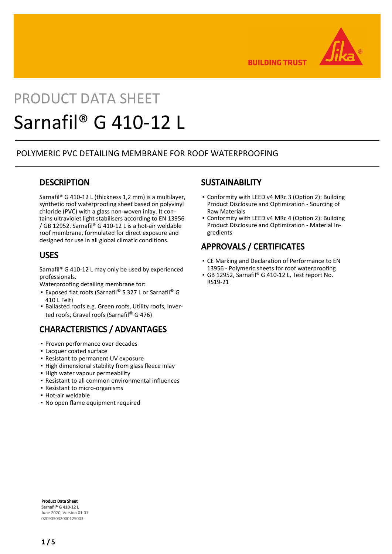

**BUILDING TRUST** 

# PRODUCT DATA SHEET Sarnafil® G 410-12 L

## POLYMERIC PVC DETAILING MEMBRANE FOR ROOF WATERPROOFING

## **DESCRIPTION**

Sarnafil® G 410-12 L (thickness 1,2 mm) is a multilayer, synthetic roof waterproofing sheet based on polyvinyl chloride (PVC) with a glass non-woven inlay. It contains ultraviolet light stabilisers according to EN 13956 / GB 12952. Sarnafil® G 410-12 L is a hot-air weldable roof membrane, formulated for direct exposure and designed for use in all global climatic conditions.

## USES

Sarnafil® G 410-12 L may only be used by experienced professionals.

Waterproofing detailing membrane for:

- Exposed flat roofs (Sarnafil® S 327 L or Sarnafil® G 410 L Felt)
- **Ballasted roofs e.g. Green roofs, Utility roofs, Inver**ted roofs, Gravel roofs (Sarnafil® G 476)

# CHARACTERISTICS / ADVANTAGES

- Proven performance over decades
- Lacquer coated surface
- Resistant to permanent UV exposure
- **.** High dimensional stability from glass fleece inlay
- **.** High water vapour permeability
- Resistant to all common environmental influences
- Resistant to micro-organisms
- Hot-air weldable
- No open flame equipment required

## **SUSTAINABILITY**

- Conformity with LEED v4 MRc 3 (Option 2): Building Product Disclosure and Optimization - Sourcing of Raw Materials
- Conformity with LEED v4 MRc 4 (Option 2): Building Product Disclosure and Optimization - Material Ingredients

# APPROVALS / CERTIFICATES

- CE Marking and Declaration of Performance to EN 13956 - Polymeric sheets for roof waterproofing
- GB 12952, Sarnafil® G 410-12 L, Test report No. RS19-21

Product Data Sheet Sarnafil® G 410-12 L June 2020, Version 01.01 020905032000125003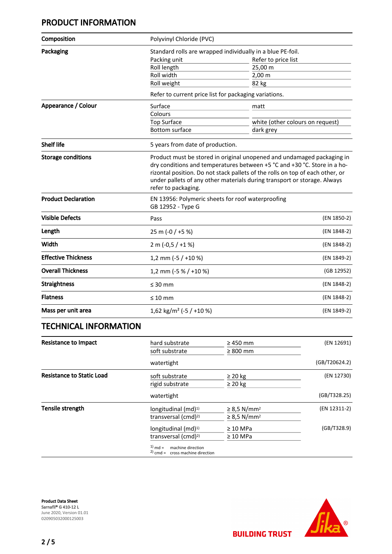# PRODUCT INFORMATION

| Composition                | Polyvinyl Chloride (PVC)                                                                                                                                                                                                                                                                                                               |                                  |  |  |
|----------------------------|----------------------------------------------------------------------------------------------------------------------------------------------------------------------------------------------------------------------------------------------------------------------------------------------------------------------------------------|----------------------------------|--|--|
| Packaging                  | Standard rolls are wrapped individually in a blue PE-foil.                                                                                                                                                                                                                                                                             |                                  |  |  |
|                            | Packing unit                                                                                                                                                                                                                                                                                                                           | Refer to price list              |  |  |
|                            | Roll length                                                                                                                                                                                                                                                                                                                            | 25,00 m                          |  |  |
|                            | Roll width                                                                                                                                                                                                                                                                                                                             | $2,00 \, \text{m}$               |  |  |
|                            | Roll weight                                                                                                                                                                                                                                                                                                                            | 82 kg                            |  |  |
|                            | Refer to current price list for packaging variations.                                                                                                                                                                                                                                                                                  |                                  |  |  |
| Appearance / Colour        | Surface                                                                                                                                                                                                                                                                                                                                | matt                             |  |  |
|                            | Colours                                                                                                                                                                                                                                                                                                                                |                                  |  |  |
|                            | <b>Top Surface</b>                                                                                                                                                                                                                                                                                                                     | white (other colours on request) |  |  |
|                            | <b>Bottom surface</b>                                                                                                                                                                                                                                                                                                                  | dark grey                        |  |  |
| <b>Shelf life</b>          | 5 years from date of production.                                                                                                                                                                                                                                                                                                       |                                  |  |  |
| <b>Storage conditions</b>  | Product must be stored in original unopened and undamaged packaging in<br>dry conditions and temperatures between +5 °C and +30 °C. Store in a ho-<br>rizontal position. Do not stack pallets of the rolls on top of each other, or<br>under pallets of any other materials during transport or storage. Always<br>refer to packaging. |                                  |  |  |
| <b>Product Declaration</b> | EN 13956: Polymeric sheets for roof waterproofing<br>GB 12952 - Type G                                                                                                                                                                                                                                                                 |                                  |  |  |
| <b>Visible Defects</b>     | Pass                                                                                                                                                                                                                                                                                                                                   | (EN 1850-2)                      |  |  |
| Length                     | 25 m (-0 / +5 %)                                                                                                                                                                                                                                                                                                                       | (EN 1848-2)                      |  |  |
| Width                      | $2 m (-0.5 / +1%)$                                                                                                                                                                                                                                                                                                                     | (EN 1848-2)                      |  |  |
| <b>Effective Thickness</b> | 1,2 mm ( $-5$ / $+10$ %)                                                                                                                                                                                                                                                                                                               | (EN 1849-2)                      |  |  |
| <b>Overall Thickness</b>   | 1,2 mm (-5 % / +10 %)                                                                                                                                                                                                                                                                                                                  | (GB 12952)                       |  |  |
| <b>Straightness</b>        | $\leq 30$ mm                                                                                                                                                                                                                                                                                                                           | (EN 1848-2)                      |  |  |
| <b>Flatness</b>            | $\leq 10$ mm                                                                                                                                                                                                                                                                                                                           | (EN 1848-2)                      |  |  |
| Mass per unit area         | 1,62 kg/m <sup>2</sup> (-5 / +10 %)                                                                                                                                                                                                                                                                                                    | (EN 1849-2)                      |  |  |

# TECHNICAL INFORMATION

| <b>Resistance to Impact</b>      | hard substrate                                                       | $\geq$ 450 mm                | (EN 12691)    |
|----------------------------------|----------------------------------------------------------------------|------------------------------|---------------|
|                                  | soft substrate                                                       | $\geq 800$ mm                |               |
|                                  | watertight                                                           |                              | (GB/T20624.2) |
| <b>Resistance to Static Load</b> | soft substrate                                                       | $\geq 20$ kg                 | (EN 12730)    |
|                                  | rigid substrate                                                      | $\geq$ 20 kg                 |               |
|                                  | watertight                                                           |                              | (GB/T328.25)  |
| Tensile strength                 | longitudinal $(md)^{1}$                                              | $\geq$ 8.5 N/mm <sup>2</sup> | (EN 12311-2)  |
|                                  | transversal (cmd) <sup>2)</sup>                                      | $\geq$ 8,5 N/mm <sup>2</sup> |               |
|                                  | longitudinal $(md)^{1}$                                              | $\geq 10$ MPa                | (GB/T328.9)   |
|                                  | transversal (cmd) <sup>2)</sup>                                      | $\geq 10$ MPa                |               |
|                                  | $1)$ md =<br>machine direction<br>$2)$ cmd = cross machine direction |                              |               |

Product Data Sheet Sarnafil® G 410-12 L June 2020, Version 01.01 020905032000125003



**BUILDING TRUST**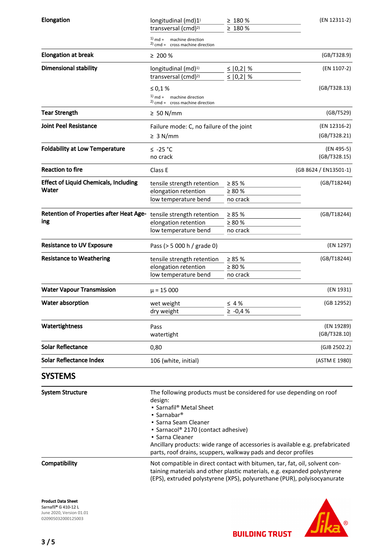| Elongation                                     | longitudinal (md)1)<br>transversal (cmd) <sup>2)</sup>                                                                                                                                                                                                                                                                                                                               | $\geq 180 \%$<br>$\geq 180 \%$ | (EN 12311-2)               |
|------------------------------------------------|--------------------------------------------------------------------------------------------------------------------------------------------------------------------------------------------------------------------------------------------------------------------------------------------------------------------------------------------------------------------------------------|--------------------------------|----------------------------|
|                                                | $1)$ md =<br>machine direction<br>$2)$ cmd = cross machine direction                                                                                                                                                                                                                                                                                                                 |                                |                            |
| <b>Elongation at break</b>                     | $\geq 200 \%$                                                                                                                                                                                                                                                                                                                                                                        |                                | (GB/T328.9)                |
| <b>Dimensional stability</b>                   | longitudinal (md) <sup>1)</sup><br>transversal (cmd) <sup>2)</sup>                                                                                                                                                                                                                                                                                                                   | ≤ $ 0,2 $ %<br>≤   0,2   %     | (EN 1107-2)                |
|                                                | ≤ 0,1 %<br>$1)$ md = machine direction<br>$2)$ cmd = cross machine direction                                                                                                                                                                                                                                                                                                         |                                | (GB/T328.13)               |
| <b>Tear Strength</b>                           | $\geq 50$ N/mm                                                                                                                                                                                                                                                                                                                                                                       |                                | (GB/T529)                  |
| <b>Joint Peel Resistance</b>                   | Failure mode: C, no failure of the joint                                                                                                                                                                                                                                                                                                                                             |                                | (EN 12316-2)               |
|                                                | $\geq 3$ N/mm                                                                                                                                                                                                                                                                                                                                                                        |                                | (GB/T328.21)               |
| <b>Foldability at Low Temperature</b>          | ≤ -25 °C                                                                                                                                                                                                                                                                                                                                                                             |                                | (EN 495-5)                 |
|                                                | no crack                                                                                                                                                                                                                                                                                                                                                                             |                                | (GB/T328.15)               |
| <b>Reaction to fire</b>                        | Class E                                                                                                                                                                                                                                                                                                                                                                              |                                | (GB 8624 / EN13501-1)      |
| <b>Effect of Liquid Chemicals, Including</b>   | tensile strength retention                                                                                                                                                                                                                                                                                                                                                           | $\geq 85 \%$                   | (GB/T18244)                |
| Water                                          | elongation retention                                                                                                                                                                                                                                                                                                                                                                 | $\geq 80 \%$                   |                            |
|                                                | low temperature bend                                                                                                                                                                                                                                                                                                                                                                 | no crack                       |                            |
| <b>Retention of Properties after Heat Age-</b> | tensile strength retention                                                                                                                                                                                                                                                                                                                                                           | $\geq 85 \%$                   | (GB/T18244)                |
| ing                                            | elongation retention                                                                                                                                                                                                                                                                                                                                                                 | $\geq 80$ %                    |                            |
|                                                | low temperature bend                                                                                                                                                                                                                                                                                                                                                                 | no crack                       |                            |
| <b>Resistance to UV Exposure</b>               | Pass (> 5 000 h / grade 0)                                                                                                                                                                                                                                                                                                                                                           |                                | (EN 1297)                  |
| <b>Resistance to Weathering</b>                | tensile strength retention                                                                                                                                                                                                                                                                                                                                                           | $\geq 85 \%$                   | (GB/T18244)                |
|                                                | elongation retention                                                                                                                                                                                                                                                                                                                                                                 | $\geq 80 \%$                   |                            |
|                                                | low temperature bend                                                                                                                                                                                                                                                                                                                                                                 | no crack                       |                            |
| <b>Water Vapour Transmission</b>               | $\mu$ = 15 000                                                                                                                                                                                                                                                                                                                                                                       |                                | (EN 1931)                  |
| <b>Water absorption</b>                        | wet weight                                                                                                                                                                                                                                                                                                                                                                           | $\leq 4\%$                     | (GB 12952)                 |
|                                                | dry weight                                                                                                                                                                                                                                                                                                                                                                           | $\ge -0.4 %$                   |                            |
| Watertightness                                 | Pass<br>watertight                                                                                                                                                                                                                                                                                                                                                                   |                                | (EN 19289)<br>(GB/T328.10) |
| <b>Solar Reflectance</b>                       | 0,80                                                                                                                                                                                                                                                                                                                                                                                 |                                | (GJB 2502.2)               |
| <b>Solar Reflectance Index</b>                 | 106 (white, initial)                                                                                                                                                                                                                                                                                                                                                                 |                                | (ASTM E 1980)              |
| <b>SYSTEMS</b>                                 |                                                                                                                                                                                                                                                                                                                                                                                      |                                |                            |
| <b>System Structure</b>                        | The following products must be considered for use depending on roof<br>design:<br>• Sarnafil <sup>®</sup> Metal Sheet<br>• Sarnabar <sup>®</sup><br>• Sarna Seam Cleaner<br>• Sarnacol® 2170 (contact adhesive)<br>• Sarna Cleaner<br>Ancillary products: wide range of accessories is available e.g. prefabricated<br>parts, roof drains, scuppers, walkway pads and decor profiles |                                |                            |
| Compatibility                                  | Not compatible in direct contact with bitumen, tar, fat, oil, solvent con-<br>taining materials and other plastic materials, e.g. expanded polystyrene<br>(EPS), extruded polystyrene (XPS), polyurethane (PUR), polyisocyanurate                                                                                                                                                    |                                |                            |
| <b>Product Data Sheet</b>                      |                                                                                                                                                                                                                                                                                                                                                                                      |                                |                            |

Sarnafil® G 410-12 L June 2020, Version 01.01 020905032000125003

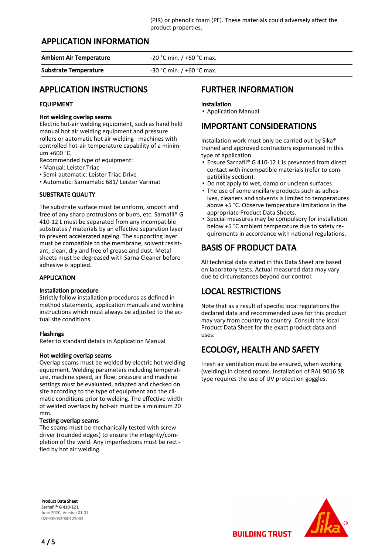## APPLICATION INFORMATION

Ambient Air Temperature -20 °C min. / +60 °C max.

Substrate Temperature  $-30 °C$  min.  $/ +60 °C$  max.

## APPLICATION INSTRUCTIONS

#### EQUIPMENT

#### Hot welding overlap seams

Electric hot-air welding equipment, such as hand held manual hot air welding equipment and pressure rollers or automatic hot air welding machines with controlled hot-air temperature capability of a minimum +600 °C.

Recommended type of equipment:

- Manual: Leister Triac
- Semi-automatic: Leister Triac Drive

▪ Automatic: Sarnamatic 681/ Leister Varimat

#### SUBSTRATE QUALITY

The substrate surface must be uniform, smooth and free of any sharp protrusions or burrs, etc. Sarnafil® G 410-12 L must be separated from any incompatible substrates / materials by an effective separation layer to prevent accelerated ageing. The supporting layer must be compatible to the membrane, solvent resistant, clean, dry and free of grease and dust. Metal sheets must be degreased with Sarna Cleaner before adhesive is applied.

#### APPLICATION

#### Installation procedure

Strictly follow installation procedures as defined in method statements, application manuals and working instructions which must always be adjusted to the actual site conditions.

#### Flashings

Refer to standard details in Application Manual

#### Hot welding overlap seams

Overlap seams must be welded by electric hot welding equipment. Welding parameters including temperature, machine speed, air flow, pressure and machine settings must be evaluated, adapted and checked on site according to the type of equipment and the climatic conditions prior to welding. The effective width of welded overlaps by hot-air must be a minimum 20 mm.

#### Testing overlap seams

The seams must be mechanically tested with screwdriver (rounded edges) to ensure the integrity/completion of the weld. Any imperfections must be rectified by hot air welding.

## FURTHER INFORMATION

#### Installation

▪ Application Manual

## IMPORTANT CONSIDERATIONS

Installation work must only be carried out by Sika® trained and approved contractors experienced in this type of application.

- Ensure Sarnafil® G 410-12 L is prevented from direct contact with incompatible materials (refer to compatibility section).
- Do not apply to wet, damp or unclean surfaces
- The use of some ancillary products such as adhes-▪ ives, cleaners and solvents is limited to temperatures above +5 °C. Observe temperature limitations in the appropriate Product Data Sheets.
- **•** Special measures may be compulsory for installation below +5 °C ambient temperature due to safety requirements in accordance with national regulations.

# BASIS OF PRODUCT DATA

All technical data stated in this Data Sheet are based on laboratory tests. Actual measured data may vary due to circumstances beyond our control.

# LOCAL RESTRICTIONS

Note that as a result of specific local regulations the declared data and recommended uses for this product may vary from country to country. Consult the local Product Data Sheet for the exact product data and uses.

# ECOLOGY, HEALTH AND SAFETY

Fresh air ventilation must be ensured, when working (welding) in closed rooms. Installation of RAL 9016 SR type requires the use of UV protection goggles.

Product Data Sheet Sarnafil® G 410-12 L June 2020, Version 01.01 020905032000125003



**BUILDING TRUST**